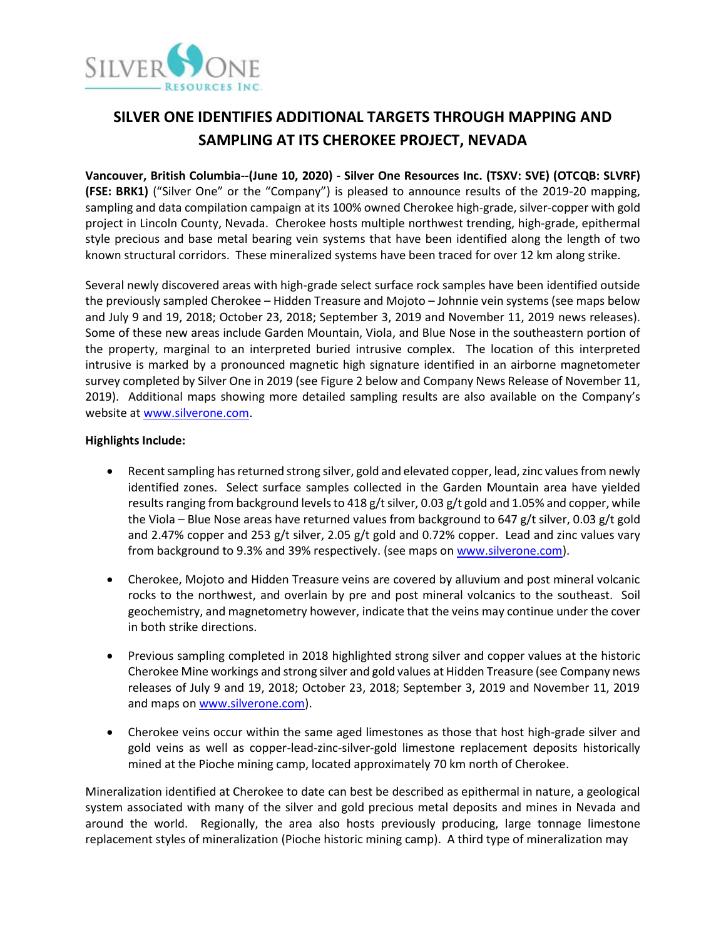

# **SILVER ONE IDENTIFIES ADDITIONAL TARGETS THROUGH MAPPING AND SAMPLING AT ITS CHEROKEE PROJECT, NEVADA**

**Vancouver, British Columbia--(June 10, 2020) - Silver One Resources Inc. (TSXV: SVE) (OTCQB: SLVRF) (FSE: BRK1)** ("Silver One" or the "Company") is pleased to announce results of the 2019-20 mapping, sampling and data compilation campaign at its 100% owned Cherokee high-grade, silver-copper with gold project in Lincoln County, Nevada. Cherokee hosts multiple northwest trending, high-grade, epithermal style precious and base metal bearing vein systems that have been identified along the length of two known structural corridors. These mineralized systems have been traced for over 12 km along strike.

Several newly discovered areas with high-grade select surface rock samples have been identified outside the previously sampled Cherokee – Hidden Treasure and Mojoto – Johnnie vein systems (see maps below and July 9 and 19, 2018; October 23, 2018; September 3, 2019 and November 11, 2019 news releases). Some of these new areas include Garden Mountain, Viola, and Blue Nose in the southeastern portion of the property, marginal to an interpreted buried intrusive complex. The location of this interpreted intrusive is marked by a pronounced magnetic high signature identified in an airborne magnetometer survey completed by Silver One in 2019 (see Figure 2 below and Company News Release of November 11, 2019). Additional maps showing more detailed sampling results are also available on the Company's website at [www.silverone.com.](http://www.silverone.com/)

## **Highlights Include:**

- Recent sampling has returned strong silver, gold and elevated copper, lead, zinc values from newly identified zones. Select surface samples collected in the Garden Mountain area have yielded results ranging from background levels to 418 g/t silver, 0.03 g/t gold and 1.05% and copper, while the Viola – Blue Nose areas have returned values from background to 647 g/t silver, 0.03 g/t gold and 2.47% copper and 253 g/t silver, 2.05 g/t gold and 0.72% copper. Lead and zinc values vary from background to 9.3% and 39% respectively. (see maps on [www.silverone.com\)](http://www.silverone.com/).
- Cherokee, Mojoto and Hidden Treasure veins are covered by alluvium and post mineral volcanic rocks to the northwest, and overlain by pre and post mineral volcanics to the southeast. Soil geochemistry, and magnetometry however, indicate that the veins may continue under the cover in both strike directions.
- Previous sampling completed in 2018 highlighted strong silver and copper values at the historic Cherokee Mine workings and strong silver and gold values at Hidden Treasure (see Company news releases of July 9 and 19, 2018; October 23, 2018; September 3, 2019 and November 11, 2019 and maps on [www.silverone.com\)](http://www.silverone.com/).
- Cherokee veins occur within the same aged limestones as those that host high-grade silver and gold veins as well as copper-lead-zinc-silver-gold limestone replacement deposits historically mined at the Pioche mining camp, located approximately 70 km north of Cherokee.

Mineralization identified at Cherokee to date can best be described as epithermal in nature, a geological system associated with many of the silver and gold precious metal deposits and mines in Nevada and around the world. Regionally, the area also hosts previously producing, large tonnage limestone replacement styles of mineralization (Pioche historic mining camp). A third type of mineralization may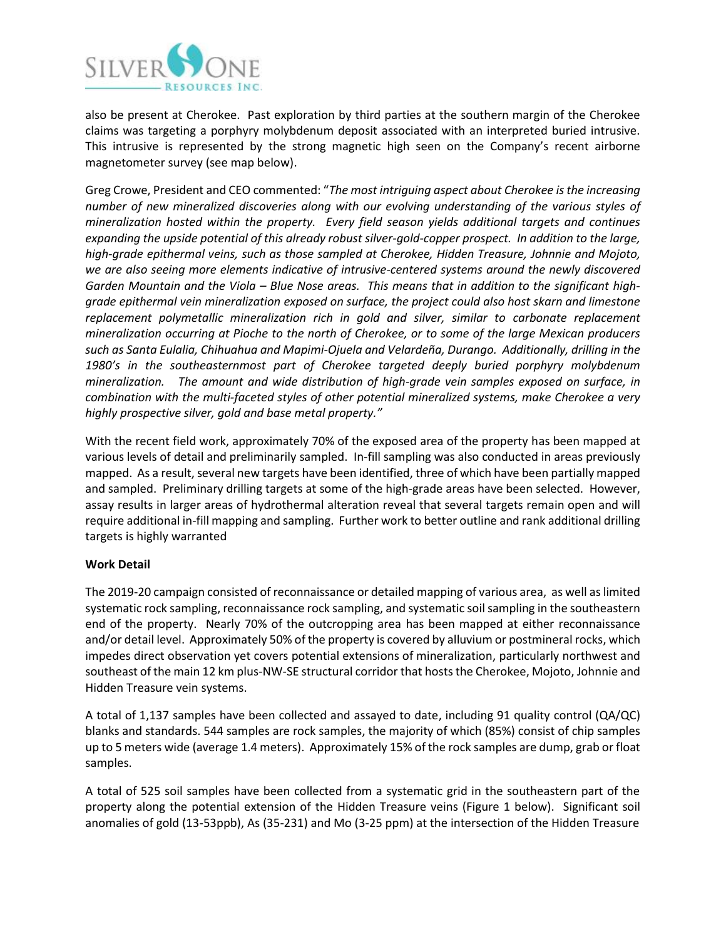

also be present at Cherokee. Past exploration by third parties at the southern margin of the Cherokee claims was targeting a porphyry molybdenum deposit associated with an interpreted buried intrusive. This intrusive is represented by the strong magnetic high seen on the Company's recent airborne magnetometer survey (see map below).

Greg Crowe, President and CEO commented: "*The most intriguing aspect about Cherokee is the increasing number of new mineralized discoveries along with our evolving understanding of the various styles of mineralization hosted within the property. Every field season yields additional targets and continues expanding the upside potential of this already robust silver-gold-copper prospect. In addition to the large, high-grade epithermal veins, such as those sampled at Cherokee, Hidden Treasure, Johnnie and Mojoto, we are also seeing more elements indicative of intrusive-centered systems around the newly discovered Garden Mountain and the Viola – Blue Nose areas. This means that in addition to the significant highgrade epithermal vein mineralization exposed on surface, the project could also host skarn and limestone replacement polymetallic mineralization rich in gold and silver, similar to carbonate replacement mineralization occurring at Pioche to the north of Cherokee, or to some of the large Mexican producers such as Santa Eulalia, Chihuahua and Mapimi-Ojuela and Velardeña, Durango. Additionally, drilling in the 1980's in the southeasternmost part of Cherokee targeted deeply buried porphyry molybdenum mineralization. The amount and wide distribution of high-grade vein samples exposed on surface, in combination with the multi-faceted styles of other potential mineralized systems, make Cherokee a very highly prospective silver, gold and base metal property."*

With the recent field work, approximately 70% of the exposed area of the property has been mapped at various levels of detail and preliminarily sampled. In-fill sampling was also conducted in areas previously mapped. As a result, several new targets have been identified, three of which have been partially mapped and sampled. Preliminary drilling targets at some of the high-grade areas have been selected. However, assay results in larger areas of hydrothermal alteration reveal that several targets remain open and will require additional in-fill mapping and sampling. Further work to better outline and rank additional drilling targets is highly warranted

## **Work Detail**

The 2019-20 campaign consisted of reconnaissance or detailed mapping of various area, as well as limited systematic rock sampling, reconnaissance rock sampling, and systematic soil sampling in the southeastern end of the property. Nearly 70% of the outcropping area has been mapped at either reconnaissance and/or detail level. Approximately 50% of the property is covered by alluvium or postmineral rocks, which impedes direct observation yet covers potential extensions of mineralization, particularly northwest and southeast of the main 12 km plus-NW-SE structural corridor that hosts the Cherokee, Mojoto, Johnnie and Hidden Treasure vein systems.

A total of 1,137 samples have been collected and assayed to date, including 91 quality control (QA/QC) blanks and standards. 544 samples are rock samples, the majority of which (85%) consist of chip samples up to 5 meters wide (average 1.4 meters). Approximately 15% of the rock samples are dump, grab or float samples.

A total of 525 soil samples have been collected from a systematic grid in the southeastern part of the property along the potential extension of the Hidden Treasure veins (Figure 1 below). Significant soil anomalies of gold (13-53ppb), As (35-231) and Mo (3-25 ppm) at the intersection of the Hidden Treasure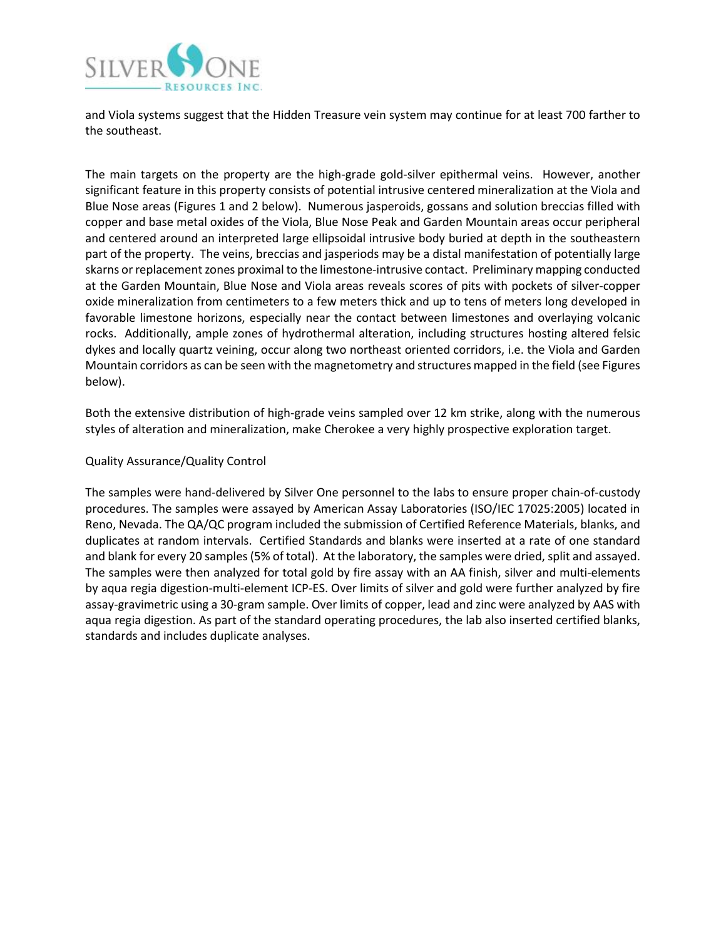

and Viola systems suggest that the Hidden Treasure vein system may continue for at least 700 farther to the southeast.

The main targets on the property are the high-grade gold-silver epithermal veins. However, another significant feature in this property consists of potential intrusive centered mineralization at the Viola and Blue Nose areas (Figures 1 and 2 below). Numerous jasperoids, gossans and solution breccias filled with copper and base metal oxides of the Viola, Blue Nose Peak and Garden Mountain areas occur peripheral and centered around an interpreted large ellipsoidal intrusive body buried at depth in the southeastern part of the property. The veins, breccias and jasperiods may be a distal manifestation of potentially large skarns or replacement zones proximal to the limestone-intrusive contact. Preliminary mapping conducted at the Garden Mountain, Blue Nose and Viola areas reveals scores of pits with pockets of silver-copper oxide mineralization from centimeters to a few meters thick and up to tens of meters long developed in favorable limestone horizons, especially near the contact between limestones and overlaying volcanic rocks. Additionally, ample zones of hydrothermal alteration, including structures hosting altered felsic dykes and locally quartz veining, occur along two northeast oriented corridors, i.e. the Viola and Garden Mountain corridors as can be seen with the magnetometry and structures mapped in the field (see Figures below).

Both the extensive distribution of high-grade veins sampled over 12 km strike, along with the numerous styles of alteration and mineralization, make Cherokee a very highly prospective exploration target.

### Quality Assurance/Quality Control

The samples were hand-delivered by Silver One personnel to the labs to ensure proper chain-of-custody procedures. The samples were assayed by American Assay Laboratories (ISO/IEC 17025:2005) located in Reno, Nevada. The QA/QC program included the submission of Certified Reference Materials, blanks, and duplicates at random intervals. Certified Standards and blanks were inserted at a rate of one standard and blank for every 20 samples (5% of total). At the laboratory, the samples were dried, split and assayed. The samples were then analyzed for total gold by fire assay with an AA finish, silver and multi-elements by aqua regia digestion-multi-element ICP-ES. Over limits of silver and gold were further analyzed by fire assay-gravimetric using a 30-gram sample. Over limits of copper, lead and zinc were analyzed by AAS with aqua regia digestion. As part of the standard operating procedures, the lab also inserted certified blanks, standards and includes duplicate analyses.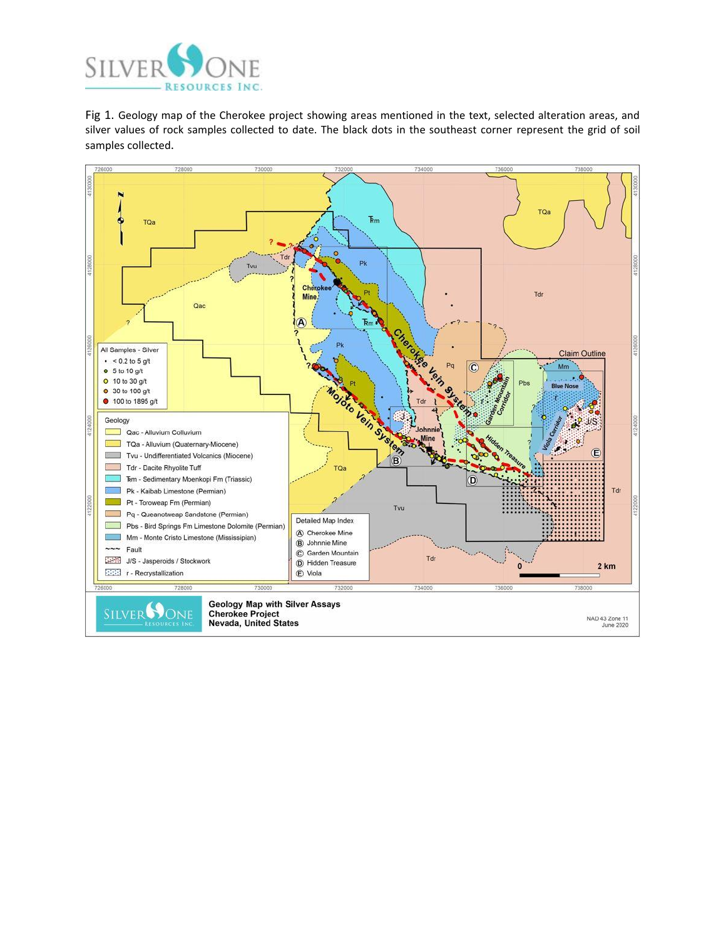

Fig 1. Geology map of the Cherokee project showing areas mentioned in the text, selected alteration areas, and silver values of rock samples collected to date. The black dots in the southeast corner represent the grid of soil samples collected.

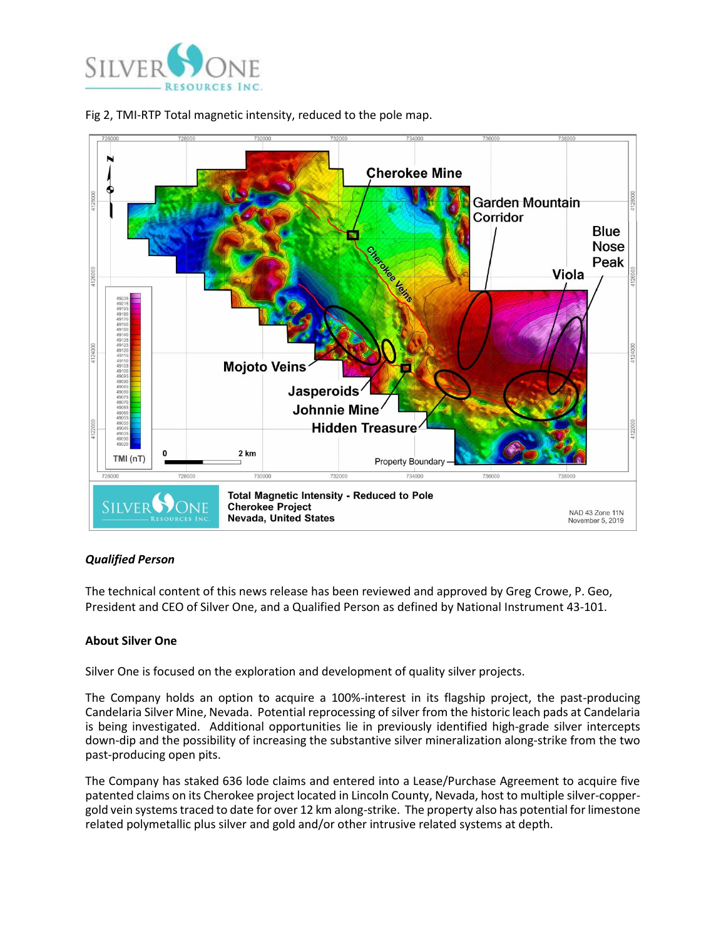



# Fig 2, TMI-RTP Total magnetic intensity, reduced to the pole map.

## *Qualified Person*

The technical content of this news release has been reviewed and approved by Greg Crowe, P. Geo, President and CEO of Silver One, and a Qualified Person as defined by National Instrument 43-101.

### **About Silver One**

Silver One is focused on the exploration and development of quality silver projects.

The Company holds an option to acquire a 100%-interest in its flagship project, the past-producing Candelaria Silver Mine, Nevada. Potential reprocessing of silver from the historic leach pads at Candelaria is being investigated. Additional opportunities lie in previously identified high-grade silver intercepts down-dip and the possibility of increasing the substantive silver mineralization along-strike from the two past-producing open pits.

The Company has staked 636 lode claims and entered into a Lease/Purchase Agreement to acquire five patented claims on its Cherokee project located in Lincoln County, Nevada, host to multiple silver-coppergold vein systemstraced to date for over 12 km along-strike. The property also has potential for limestone related polymetallic plus silver and gold and/or other intrusive related systems at depth.